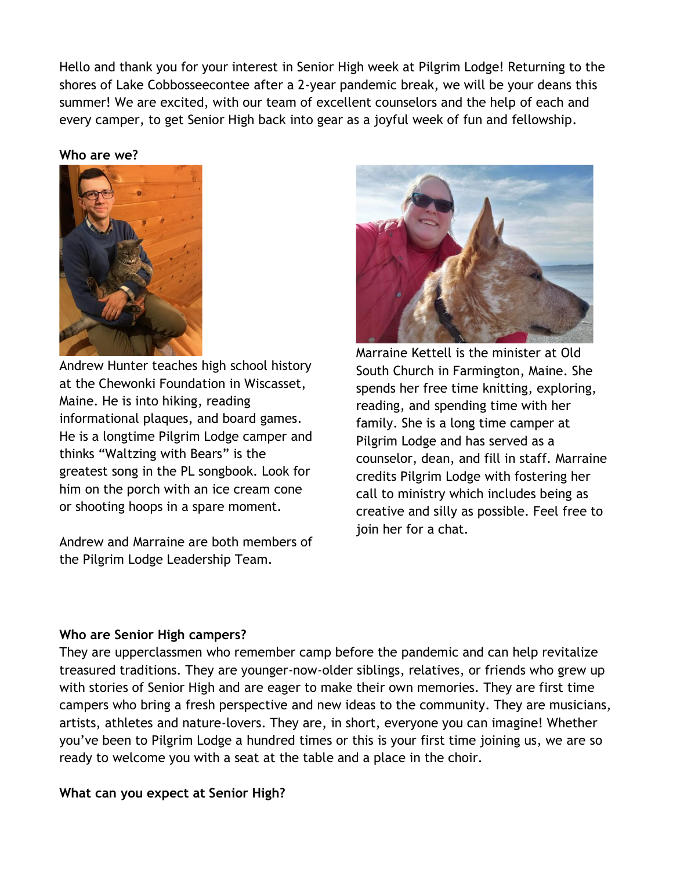Hello and thank you for your interest in Senior High week at Pilgrim Lodge! Returning to the shores of Lake Cobbosseecontee after a 2-year pandemic break, we will be your deans this summer! We are excited, with our team of excellent counselors and the help of each and every camper, to get Senior High back into gear as a joyful week of fun and fellowship.

## **Who are we?**



Andrew Hunter teaches high school history at the Chewonki Foundation in Wiscasset, Maine. He is into hiking, reading informational plaques, and board games. He is a longtime Pilgrim Lodge camper and thinks "Waltzing with Bears" is the greatest song in the PL songbook. Look for him on the porch with an ice cream cone or shooting hoops in a spare moment.

Andrew and Marraine are both members of the Pilgrim Lodge Leadership Team.



Marraine Kettell is the minister at Old South Church in Farmington, Maine. She spends her free time knitting, exploring, reading, and spending time with her family. She is a long time camper at Pilgrim Lodge and has served as a counselor, dean, and fill in staff. Marraine credits Pilgrim Lodge with fostering her call to ministry which includes being as creative and silly as possible. Feel free to join her for a chat.

## **Who are Senior High campers?**

They are upperclassmen who remember camp before the pandemic and can help revitalize treasured traditions. They are younger-now-older siblings, relatives, or friends who grew up with stories of Senior High and are eager to make their own memories. They are first time campers who bring a fresh perspective and new ideas to the community. They are musicians, artists, athletes and nature-lovers. They are, in short, everyone you can imagine! Whether you've been to Pilgrim Lodge a hundred times or this is your first time joining us, we are so ready to welcome you with a seat at the table and a place in the choir.

## **What can you expect at Senior High?**